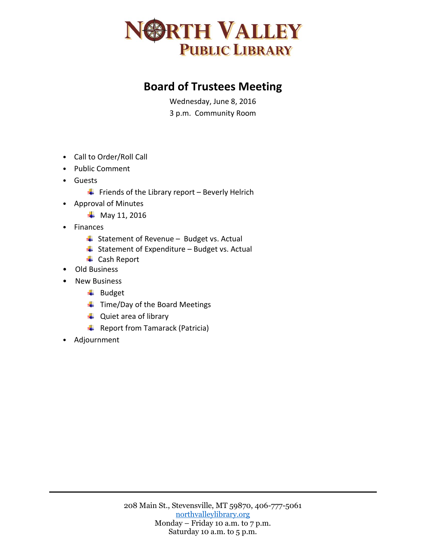

## **Board of Trustees Meeting**

Wednesday, June 8, 2016 3 p.m. Community Room

- Call to Order/Roll Call
- Public Comment
- Guests
	- $\downarrow$  Friends of the Library report Beverly Helrich
- Approval of Minutes
	- $\frac{1}{2}$  May 11, 2016
- Finances
	- $\overline{\phantom{a}}$  Statement of Revenue Budget vs. Actual
	- $\overline{\phantom{a}}$  Statement of Expenditure Budget vs. Actual
	- ← Cash Report
- Old Business
- New Business
	- $\overline{\phantom{a}}$  Budget
	- $\ddot{\phantom{1}}$  Time/Day of the Board Meetings
	- $\downarrow$  Quiet area of library
	- $\overline{\phantom{a}}$  Report from Tamarack (Patricia)
- Adjournment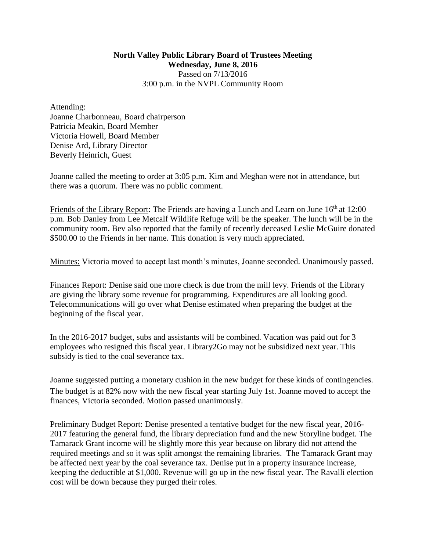## **North Valley Public Library Board of Trustees Meeting Wednesday, June 8, 2016** Passed on 7/13/2016 3:00 p.m. in the NVPL Community Room

Attending: Joanne Charbonneau, Board chairperson Patricia Meakin, Board Member Victoria Howell, Board Member Denise Ard, Library Director Beverly Heinrich, Guest

Joanne called the meeting to order at 3:05 p.m. Kim and Meghan were not in attendance, but there was a quorum. There was no public comment.

Friends of the Library Report: The Friends are having a Lunch and Learn on June 16<sup>th</sup> at 12:00 p.m. Bob Danley from Lee Metcalf Wildlife Refuge will be the speaker. The lunch will be in the community room. Bev also reported that the family of recently deceased Leslie McGuire donated \$500.00 to the Friends in her name. This donation is very much appreciated.

Minutes: Victoria moved to accept last month's minutes, Joanne seconded. Unanimously passed.

Finances Report: Denise said one more check is due from the mill levy. Friends of the Library are giving the library some revenue for programming. Expenditures are all looking good. Telecommunications will go over what Denise estimated when preparing the budget at the beginning of the fiscal year.

In the 2016-2017 budget, subs and assistants will be combined. Vacation was paid out for 3 employees who resigned this fiscal year. Library2Go may not be subsidized next year. This subsidy is tied to the coal severance tax.

Joanne suggested putting a monetary cushion in the new budget for these kinds of contingencies. The budget is at 82% now with the new fiscal year starting July 1st. Joanne moved to accept the finances, Victoria seconded. Motion passed unanimously.

Preliminary Budget Report: Denise presented a tentative budget for the new fiscal year, 2016- 2017 featuring the general fund, the library depreciation fund and the new Storyline budget. The Tamarack Grant income will be slightly more this year because on library did not attend the required meetings and so it was split amongst the remaining libraries. The Tamarack Grant may be affected next year by the coal severance tax. Denise put in a property insurance increase, keeping the deductible at \$1,000. Revenue will go up in the new fiscal year. The Ravalli election cost will be down because they purged their roles.